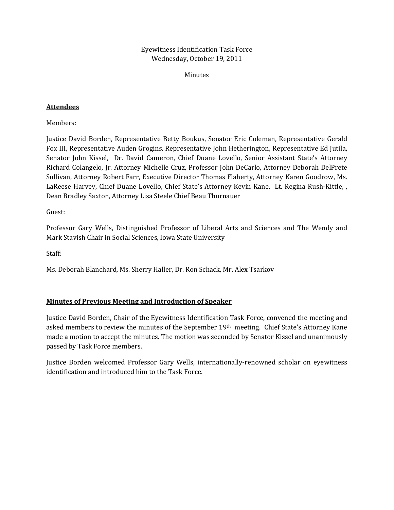Eyewitness Identification Task Force Wednesday, October 19, 2011

Minutes

## **Attendees**

Members:

Justice David Borden, Representative Betty Boukus, Senator Eric Coleman, Representative Gerald Fox III, Representative Auden Grogins, Representative John Hetherington, Representative Ed Jutila, Senator John Kissel, Dr. David Cameron, Chief Duane Lovello, Senior Assistant State's Attorney Richard Colangelo, Jr. Attorney Michelle Cruz, Professor John DeCarlo, Attorney Deborah DelPrete Sullivan, Attorney Robert Farr, Executive Director Thomas Flaherty, Attorney Karen Goodrow, Ms. LaReese Harvey, Chief Duane Lovello, Chief State's Attorney Kevin Kane, Lt. Regina Rush-Kittle, , Dean Bradley Saxton, Attorney Lisa Steele Chief Beau Thurnauer

Guest:

Professor Gary Wells, Distinguished Professor of Liberal Arts and Sciences and The Wendy and Mark Stavish Chair in Social Sciences, Iowa State University

Staff:

Ms. Deborah Blanchard, Ms. Sherry Haller, Dr. Ron Schack, Mr. Alex Tsarkov

## **Minutes of Previous Meeting and Introduction of Speaker**

Justice David Borden, Chair of the Eyewitness Identification Task Force, convened the meeting and asked members to review the minutes of the September 19th meeting. Chief State's Attorney Kane made a motion to accept the minutes. The motion was seconded by Senator Kissel and unanimously passed by Task Force members.

Justice Borden welcomed Professor Gary Wells, internationally‐renowned scholar on eyewitness identification and introduced him to the Task Force.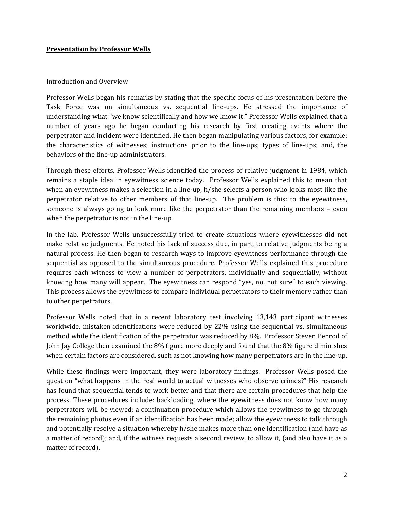### **Presentation by Professor Wells**

#### Introduction and Overview

Professor Wells began his remarks by stating that the specific focus of his presentation before the Task Force was on simultaneous vs. sequential line‐ups. He stressed the importance of understanding what "we know scientifically and how we know it." Professor Wells explained that a number of years ago he began conducting his research by first creating events where the perpetrator and incident were identified. He then began manipulating various factors, for example: the characteristics of witnesses; instructions prior to the line‐ups; types of line‐ups; and, the behaviors of the line‐up administrators.

Through these efforts, Professor Wells identified the process of relative judgment in 1984, which remains a staple idea in eyewitness science today. Professor Wells explained this to mean that when an eyewitness makes a selection in a line‐up, h/she selects a person who looks most like the perpetrator relative to other members of that line-up. The problem is this: to the eyewitness, someone is always going to look more like the perpetrator than the remaining members - even when the perpetrator is not in the line-up.

In the lab, Professor Wells unsuccessfully tried to create situations where eyewitnesses did not make relative judgments. He noted his lack of success due, in part, to relative judgments being a natural process. He then began to research ways to improve eyewitness performance through the sequential as opposed to the simultaneous procedure. Professor Wells explained this procedure requires each witness to view a number of perpetrators, individually and sequentially, without knowing how many will appear. The eyewitness can respond "yes, no, not sure" to each viewing. This process allows the eyewitness to compare individual perpetrators to their memory rather than to other perpetrators.

Professor Wells noted that in a recent laboratory test involving 13,143 participant witnesses worldwide, mistaken identifications were reduced by 22% using the sequential vs. simultaneous method while the identification of the perpetrator was reduced by 8%. Professor Steven Penrod of John Jay College then examined the 8% figure more deeply and found that the 8% figure diminishes when certain factors are considered, such as not knowing how many perpetrators are in the line-up.

While these findings were important, they were laboratory findings. Professor Wells posed the question "what happens in the real world to actual witnesses who observe crimes?" His research has found that sequential tends to work better and that there are certain procedures that help the process. These procedures include: backloading, where the eyewitness does not know how many perpetrators will be viewed; a continuation procedure which allows the eyewitness to go through the remaining photos even if an identification has been made; allow the eyewitness to talk through and potentially resolve a situation whereby h/she makes more than one identification (and have as a matter of record); and, if the witness requests a second review, to allow it, (and also have it as a matter of record).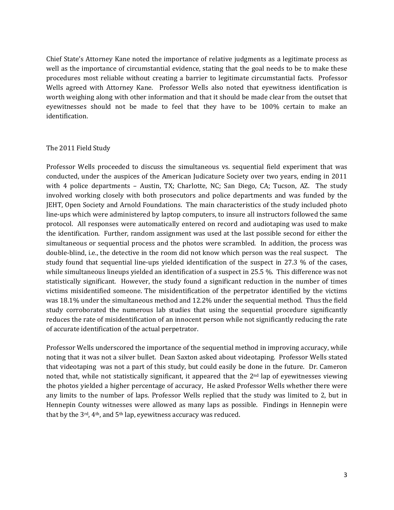Chief State's Attorney Kane noted the importance of relative judgments as a legitimate process as well as the importance of circumstantial evidence, stating that the goal needs to be to make these procedures most reliable without creating a barrier to legitimate circumstantial facts. Professor Wells agreed with Attorney Kane. Professor Wells also noted that eyewitness identification is worth weighing along with other information and that it should be made clear from the outset that eyewitnesses should not be made to feel that they have to be 100% certain to make an identification.

#### The 2011 Field Study

Professor Wells proceeded to discuss the simultaneous vs. sequential field experiment that was conducted, under the auspices of the American Judicature Society over two years, ending in 2011 with 4 police departments – Austin, TX; Charlotte, NC; San Diego, CA; Tucson, AZ. The study involved working closely with both prosecutors and police departments and was funded by the JEHT, Open Society and Arnold Foundations. The main characteristics of the study included photo line‐ups which were administered by laptop computers, to insure all instructors followed the same protocol. All responses were automatically entered on record and audiotaping was used to make the identification. Further, random assignment was used at the last possible second for either the simultaneous or sequential process and the photos were scrambled. In addition, the process was double‐blind, i.e., the detective in the room did not know which person was the real suspect. The study found that sequential line-ups yielded identification of the suspect in 27.3 % of the cases, while simultaneous lineups yielded an identification of a suspect in 25.5 %. This difference was not statistically significant. However, the study found a significant reduction in the number of times victims misidentified someone. The misidentification of the perpetrator identified by the victims was 18.1% under the simultaneous method and 12.2% under the sequential method. Thus the field study corroborated the numerous lab studies that using the sequential procedure significantly reduces the rate of misidentification of an innocent person while not significantly reducing the rate of accurate identification of the actual perpetrator.

Professor Wells underscored the importance of the sequential method in improving accuracy, while noting that it was not a silver bullet. Dean Saxton asked about videotaping. Professor Wells stated that videotaping was not a part of this study, but could easily be done in the future. Dr. Cameron noted that, while not statistically significant, it appeared that the  $2<sup>nd</sup>$  lap of eyewitnesses viewing the photos yielded a higher percentage of accuracy, He asked Professor Wells whether there were any limits to the number of laps. Professor Wells replied that the study was limited to 2, but in Hennepin County witnesses were allowed as many laps as possible. Findings in Hennepin were that by the  $3rd$ ,  $4th$ , and  $5th$  lap, eyewitness accuracy was reduced.